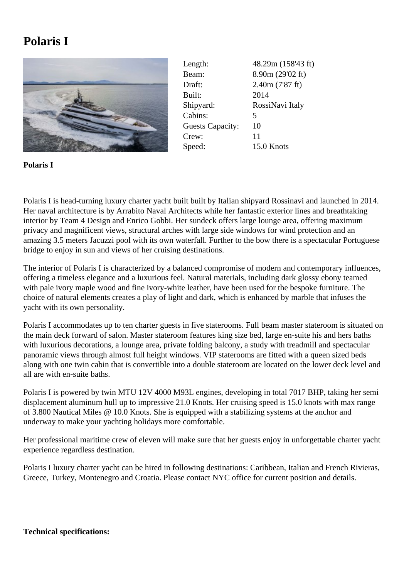## **Polaris I**



Length: 48.29m (158'43 ft) Beam: 8.90m (29'02 ft) Draft: 2.40m (7'87 ft) Built: 2014 Shipyard: RossiNavi Italy Cabins: 5 Guests Capacity: 10 Crew: 11 Speed: 15.0 Knots

**Polaris I**

Polaris I is head-turning luxury charter yacht built built by Italian shipyard Rossinavi and launched in 2014. Her naval architecture is by Arrabito Naval Architects while her fantastic exterior lines and breathtaking interior by Team 4 Design and Enrico Gobbi. Her sundeck offers large lounge area, offering maximum privacy and magnificent views, structural arches with large side windows for wind protection and an amazing 3.5 meters Jacuzzi pool with its own waterfall. Further to the bow there is a spectacular Portuguese bridge to enjoy in sun and views of her cruising destinations.

The interior of Polaris I is characterized by a balanced compromise of modern and contemporary influences, offering a timeless elegance and a luxurious feel. Natural materials, including dark glossy ebony teamed with pale ivory maple wood and fine ivory-white leather, have been used for the bespoke furniture. The choice of natural elements creates a play of light and dark, which is enhanced by marble that infuses the yacht with its own personality.

Polaris I accommodates up to ten charter guests in five staterooms. Full beam master stateroom is situated on the main deck forward of salon. Master stateroom features king size bed, large en-suite his and hers baths with luxurious decorations, a lounge area, private folding balcony, a study with treadmill and spectacular panoramic views through almost full height windows. VIP staterooms are fitted with a queen sized beds along with one twin cabin that is convertible into a double stateroom are located on the lower deck level and all are with en-suite baths.

Polaris I is powered by twin MTU 12V 4000 M93L engines, developing in total 7017 BHP, taking her semi displacement aluminum hull up to impressive 21.0 Knots. Her cruising speed is 15.0 knots with max range of 3.800 Nautical Miles @ 10.0 Knots. She is equipped with a stabilizing systems at the anchor and underway to make your yachting holidays more comfortable.

Her professional maritime crew of eleven will make sure that her guests enjoy in unforgettable charter yacht experience regardless destination.

Polaris I luxury charter yacht can be hired in following destinations: Caribbean, Italian and French Rivieras, Greece, Turkey, Montenegro and Croatia. Please contact NYC office for current position and details.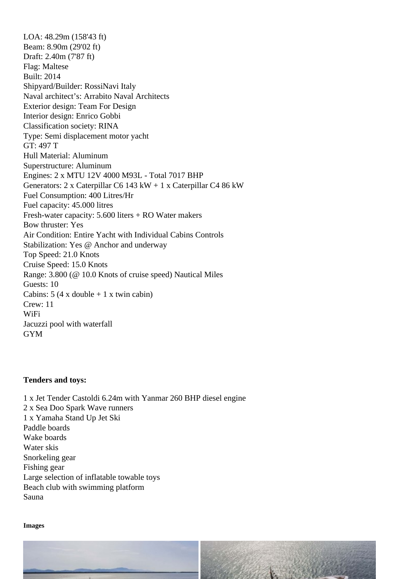LOA: 48.29m (158'43 ft) Beam: 8.90m (29'02 ft) Draft: 2.40m (7'87 ft) Flag: Maltese Built: 2014 Shipyard/Builder: RossiNavi Italy Naval architect's: Arrabito Naval Architects Exterior design: Team For Design Interior design: Enrico Gobbi Classification society: RINA Type: Semi displacement motor yacht GT: 497 T Hull Material: Aluminum Superstructure: Aluminum Engines: 2 x MTU 12V 4000 M93L - Total 7017 BHP Generators: 2 x Caterpillar C6 143 kW + 1 x Caterpillar C4 86 kW Fuel Consumption: 400 Litres/Hr Fuel capacity: 45.000 litres Fresh-water capacity: 5.600 liters + RO Water makers Bow thruster: Yes Air Condition: Entire Yacht with Individual Cabins Controls Stabilization: Yes @ Anchor and underway Top Speed: 21.0 Knots Cruise Speed: 15.0 Knots Range: 3.800 (@ 10.0 Knots of cruise speed) Nautical Miles Guests: 10 Cabins:  $5$  (4 x double  $+$  1 x twin cabin) Crew: 11 WiFi Jacuzzi pool with waterfall GYM

Tenders and toys:

1 x Jet Tender Castoldi 6.24m with Yanmar 260 BHP diesel engine 2 x Sea Doo Spark Wave runners 1 x Yamaha Stand Up Jet Ski Paddle boards Wake boards Water skis Snorkeling gear Fishing gear Large selection of inflatable towable toys Beach club with swimming platform Sauna

Images